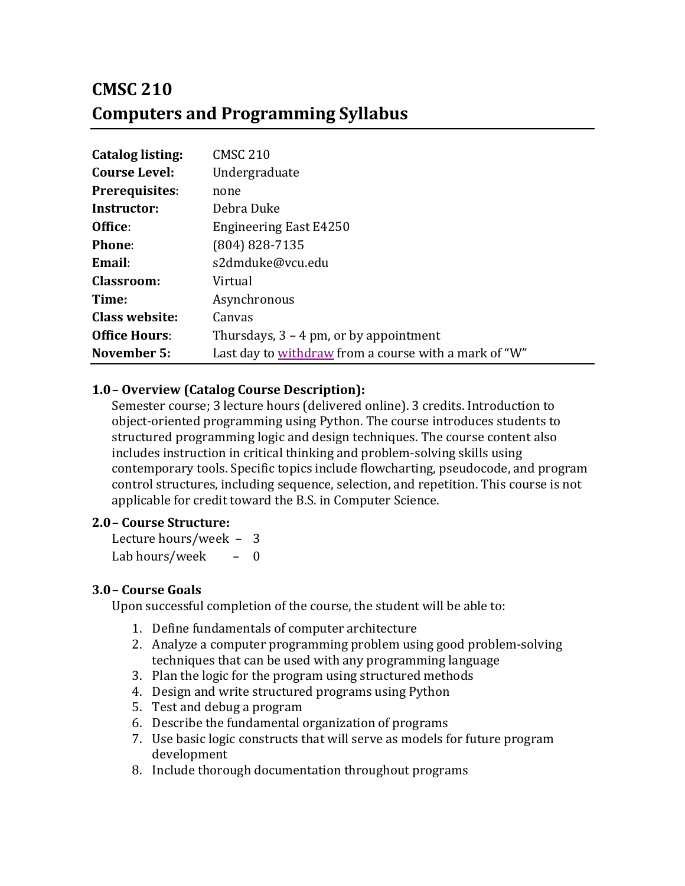# **CMSC 210 Computers and Programming Syllabus**

| <b>Catalog listing:</b> | <b>CMSC 210</b>                                       |
|-------------------------|-------------------------------------------------------|
| <b>Course Level:</b>    | Undergraduate                                         |
| <b>Prerequisites:</b>   | none                                                  |
| Instructor:             | Debra Duke                                            |
| Office:                 | <b>Engineering East E4250</b>                         |
| Phone:                  | $(804) 828 - 7135$                                    |
| Email:                  | s2dmduke@vcu.edu                                      |
| <b>Classroom:</b>       | Virtual                                               |
| Time:                   | Asynchronous                                          |
| Class website:          | Canvas                                                |
| <b>Office Hours:</b>    | Thursdays, $3 - 4$ pm, or by appointment              |
| November 5:             | Last day to withdraw from a course with a mark of "W" |

## **1.0– Overview (Catalog Course Description):**

Semester course; 3 lecture hours (delivered online). 3 credits. Introduction to object-oriented programming using Python. The course introduces students to structured programming logic and design techniques. The course content also includes instruction in critical thinking and problem-solving skills using contemporary tools. Specific topics include flowcharting, pseudocode, and program control structures, including sequence, selection, and repetition. This course is not applicable for credit toward the B.S. in Computer Science.

#### **2.0– Course Structure:**

Lecture hours/week  $-3$ Lab hours/week  $-$  0

#### **3.0– Course Goals**

Upon successful completion of the course, the student will be able to:

- 1. Define fundamentals of computer architecture
- 2. Analyze a computer programming problem using good problem-solving techniques that can be used with any programming language
- 3. Plan the logic for the program using structured methods
- 4. Design and write structured programs using Python
- 5. Test and debug a program
- 6. Describe the fundamental organization of programs
- 7. Use basic logic constructs that will serve as models for future program development
- 8. Include thorough documentation throughout programs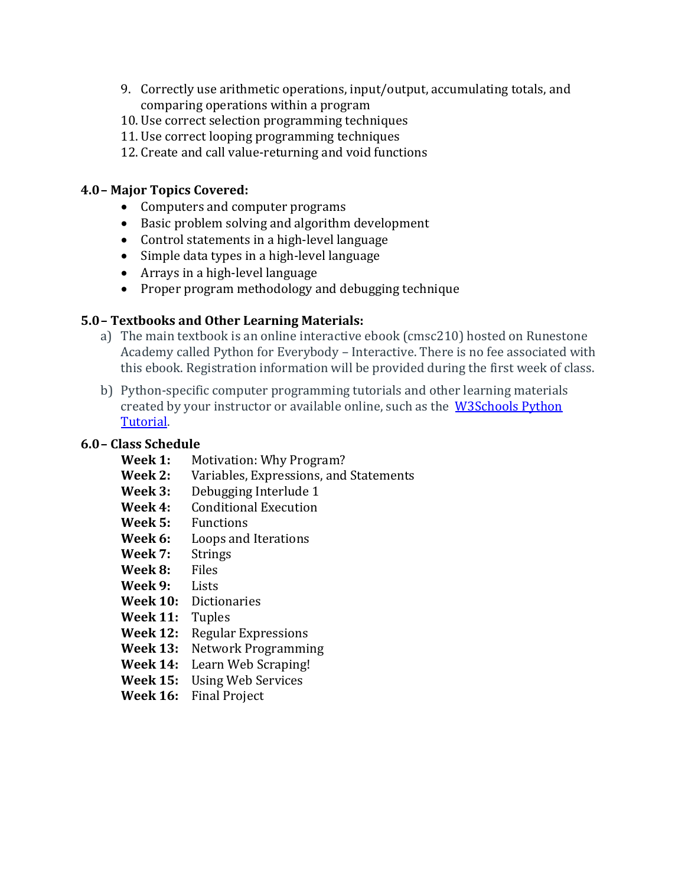- 9. Correctly use arithmetic operations, input/output, accumulating totals, and comparing operations within a program
- 10. Use correct selection programming techniques
- 11. Use correct looping programming techniques
- 12. Create and call value-returning and void functions

#### **4.0– Major Topics Covered:**

- Computers and computer programs
- $\bullet$  Basic problem solving and algorithm development
- Control statements in a high-level language
- Simple data types in a high-level language
- $\bullet$  Arrays in a high-level language
- Proper program methodology and debugging technique

## **5.0– Textbooks and Other Learning Materials:**

- a) The main textbook is an online interactive ebook (cmsc210) hosted on Runestone Academy called Python for Everybody - Interactive. There is no fee associated with this ebook. Registration information will be provided during the first week of class.
- b) Python-specific computer programming tutorials and other learning materials created by your instructor or available online, such as the W3Schools Python Tutorial.

## **6.0– Class Schedule**

- **Week 1:** Motivation: Why Program?
- **Week 2:** Variables, Expressions, and Statements
- **Week 3:** Debugging Interlude 1
- **Week 4:** Conditional Execution
- **Week 5:** Functions
- **Week 6:** Loops and Iterations
- Week 7: Strings
- **Week 8:**  Files
- Week 9: Lists
- **Week 10:**  Dictionaries
- **Week 11:** Tuples
- **Week 12:** Regular Expressions
- Week 13: Network Programming
- Week 14: Learn Web Scraping!
- **Week 15:** Using Web Services
- Week 16: Final Project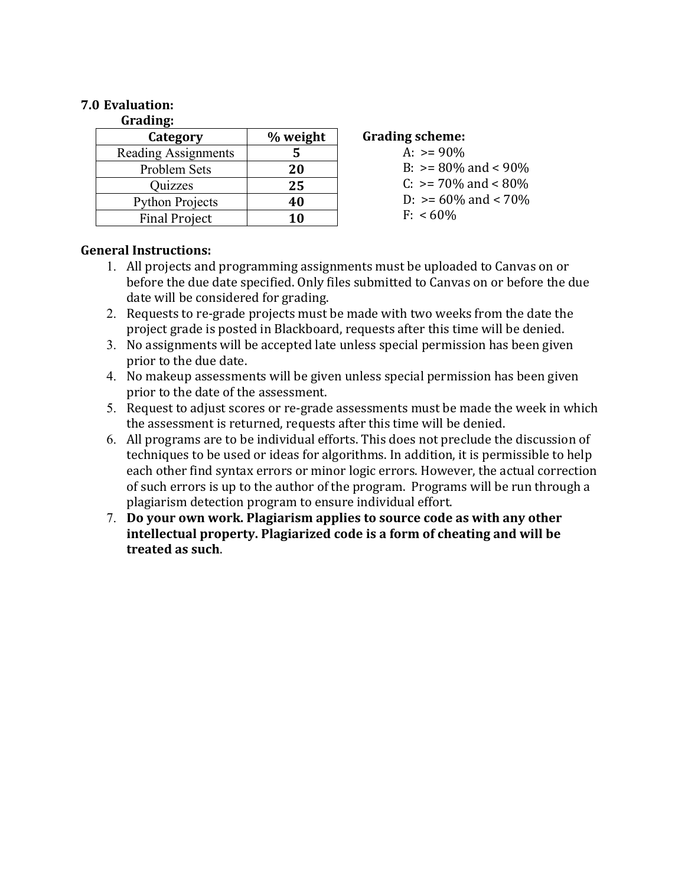#### **7.0 Evaluation:**

#### **Grading:**

| Category               | % weight |
|------------------------|----------|
| Reading Assignments    | 5        |
| Problem Sets           | 20       |
| Quizzes                | 25       |
| <b>Python Projects</b> | 40       |
| <b>Final Project</b>   | 10       |

#### **Grading scheme:**

- A:  $> = 90\%$ B:  $> = 80\%$  and  $< 90\%$
- C:  $> = 70\%$  and  $< 80\%$
- D:  $> = 60\%$  and  $< 70\%$
- $F: < 60\%$

#### **General Instructions:**

- 1. All projects and programming assignments must be uploaded to Canvas on or before the due date specified. Only files submitted to Canvas on or before the due date will be considered for grading.
- 2. Requests to re-grade projects must be made with two weeks from the date the project grade is posted in Blackboard, requests after this time will be denied.
- 3. No assignments will be accepted late unless special permission has been given prior to the due date.
- 4. No makeup assessments will be given unless special permission has been given prior to the date of the assessment.
- 5. Request to adjust scores or re-grade assessments must be made the week in which the assessment is returned, requests after this time will be denied.
- 6. All programs are to be individual efforts. This does not preclude the discussion of techniques to be used or ideas for algorithms. In addition, it is permissible to help each other find syntax errors or minor logic errors. However, the actual correction of such errors is up to the author of the program. Programs will be run through a plagiarism detection program to ensure individual effort.
- 7. Do your own work. Plagiarism applies to source code as with any other intellectual property. Plagiarized code is a form of cheating and will be **treated as such**.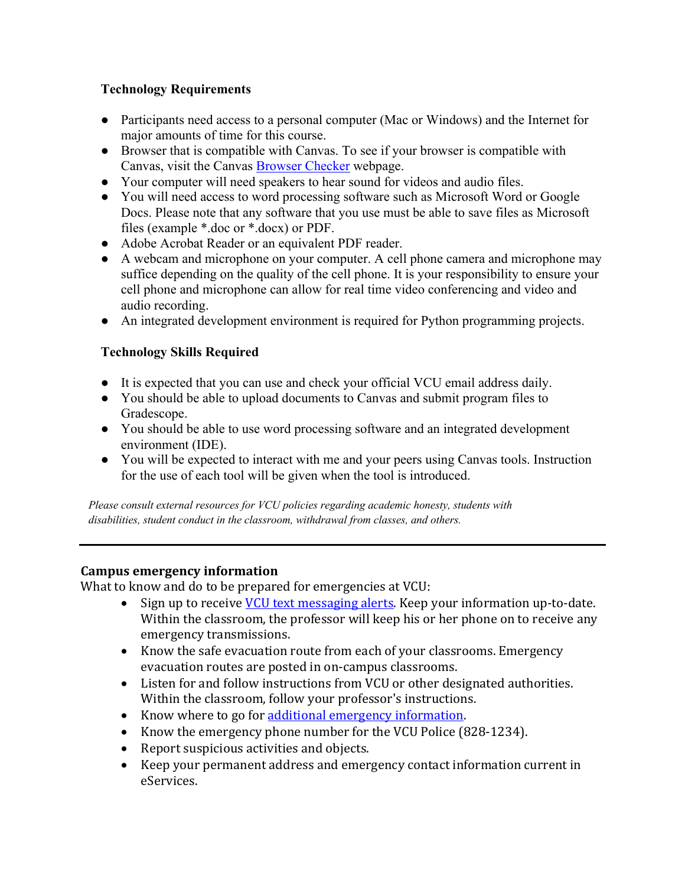## **Technology Requirements**

- Participants need access to a personal computer (Mac or Windows) and the Internet for major amounts of time for this course.
- Browser that is compatible with Canvas. To see if your browser is compatible with Canvas, visit the Canvas Browser Checker webpage.
- Your computer will need speakers to hear sound for videos and audio files.
- You will need access to word processing software such as Microsoft Word or Google Docs. Please note that any software that you use must be able to save files as Microsoft files (example \*.doc or \*.docx) or PDF.
- Adobe Acrobat Reader or an equivalent PDF reader.
- A webcam and microphone on your computer. A cell phone camera and microphone may suffice depending on the quality of the cell phone. It is your responsibility to ensure your cell phone and microphone can allow for real time video conferencing and video and audio recording.
- An integrated development environment is required for Python programming projects.

## **Technology Skills Required**

- It is expected that you can use and check your official VCU email address daily.
- You should be able to upload documents to Canvas and submit program files to Gradescope.
- You should be able to use word processing software and an integrated development environment (IDE).
- You will be expected to interact with me and your peers using Canvas tools. Instruction for the use of each tool will be given when the tool is introduced.

*Please consult external resources for VCU policies regarding academic honesty, students with disabilities, student conduct in the classroom, withdrawal from classes, and others.*

#### **Campus emergency information**

What to know and do to be prepared for emergencies at VCU:

- Sign up to receive **VCU** text messaging alerts. Keep your information up-to-date. Within the classroom, the professor will keep his or her phone on to receive any emergency transmissions.
- Know the safe evacuation route from each of your classrooms. Emergency evacuation routes are posted in on-campus classrooms.
- Listen for and follow instructions from VCU or other designated authorities. Within the classroom, follow your professor's instructions.
- Know where to go for additional emergency information.
- Know the emergency phone number for the VCU Police (828-1234).
- Report suspicious activities and objects.
- Keep your permanent address and emergency contact information current in eServices.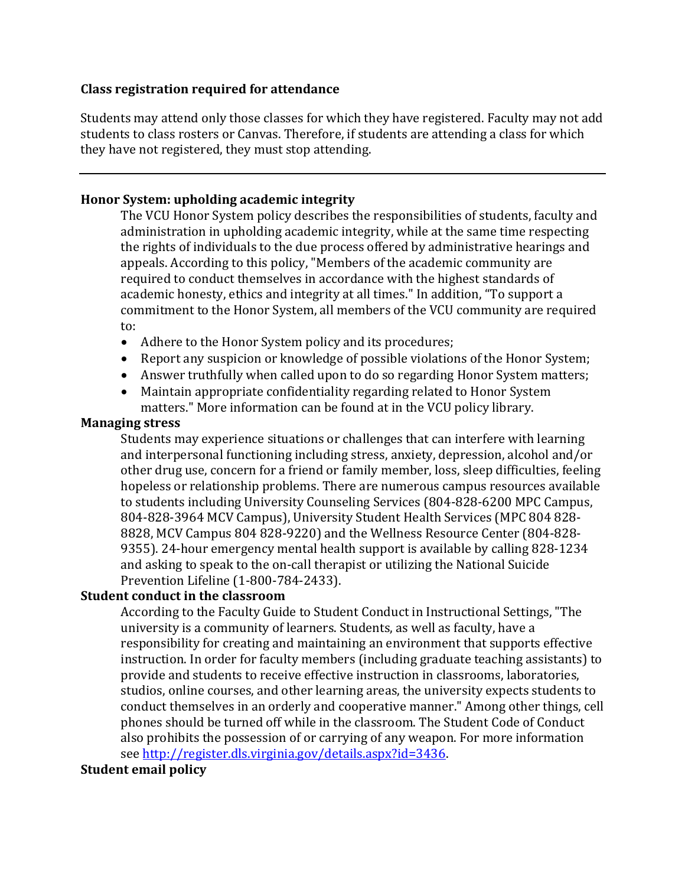#### **Class registration required for attendance**

Students may attend only those classes for which they have registered. Faculty may not add students to class rosters or Canvas. Therefore, if students are attending a class for which they have not registered, they must stop attending.

#### **Honor System: upholding academic integrity**

The VCU Honor System policy describes the responsibilities of students, faculty and administration in upholding academic integrity, while at the same time respecting the rights of individuals to the due process offered by administrative hearings and appeals. According to this policy, "Members of the academic community are required to conduct themselves in accordance with the highest standards of academic honesty, ethics and integrity at all times." In addition, "To support a commitment to the Honor System, all members of the VCU community are required to:

- Adhere to the Honor System policy and its procedures;
- Report any suspicion or knowledge of possible violations of the Honor System;
- Answer truthfully when called upon to do so regarding Honor System matters;
- Maintain appropriate confidentiality regarding related to Honor System matters." More information can be found at in the VCU policy library.

#### **Managing stress**

Students may experience situations or challenges that can interfere with learning and interpersonal functioning including stress, anxiety, depression, alcohol and/or other drug use, concern for a friend or family member, loss, sleep difficulties, feeling hopeless or relationship problems. There are numerous campus resources available to students including University Counseling Services (804-828-6200 MPC Campus, 804-828-3964 MCV Campus), University Student Health Services (MPC 804 828-8828, MCV Campus 804 828-9220) and the Wellness Resource Center (804-828-9355). 24-hour emergency mental health support is available by calling 828-1234 and asking to speak to the on-call therapist or utilizing the National Suicide Prevention Lifeline (1-800-784-2433).

#### **Student conduct in the classroom**

According to the Faculty Guide to Student Conduct in Instructional Settings, "The university is a community of learners. Students, as well as faculty, have a responsibility for creating and maintaining an environment that supports effective instruction. In order for faculty members (including graduate teaching assistants) to provide and students to receive effective instruction in classrooms, laboratories, studios, online courses, and other learning areas, the university expects students to conduct themselves in an orderly and cooperative manner." Among other things, cell phones should be turned off while in the classroom. The Student Code of Conduct also prohibits the possession of or carrying of any weapon. For more information see http://register.dls.virginia.gov/details.aspx?id=3436.

#### **Student email policy**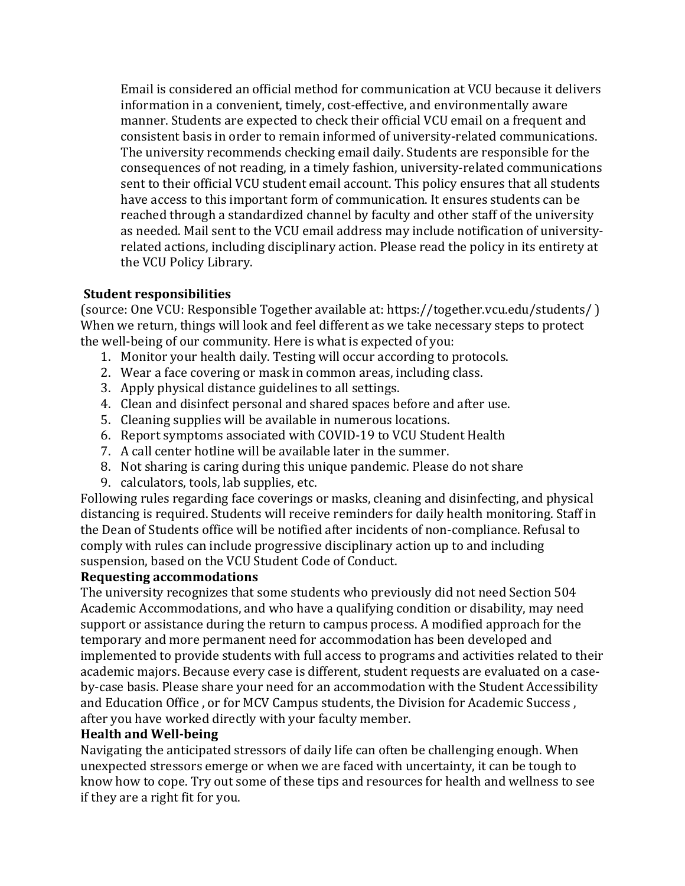Email is considered an official method for communication at VCU because it delivers information in a convenient, timely, cost-effective, and environmentally aware manner. Students are expected to check their official VCU email on a frequent and consistent basis in order to remain informed of university-related communications. The university recommends checking email daily. Students are responsible for the consequences of not reading, in a timely fashion, university-related communications sent to their official VCU student email account. This policy ensures that all students have access to this important form of communication. It ensures students can be reached through a standardized channel by faculty and other staff of the university as needed. Mail sent to the VCU email address may include notification of universityrelated actions, including disciplinary action. Please read the policy in its entirety at the VCU Policy Library.

#### **Student responsibilities**

(source: One VCU: Responsible Together available at: https://together.vcu.edu/students/) When we return, things will look and feel different as we take necessary steps to protect the well-being of our community. Here is what is expected of you:

- 1. Monitor your health daily. Testing will occur according to protocols.
- 2. Wear a face covering or mask in common areas, including class.
- 3. Apply physical distance guidelines to all settings.
- 4. Clean and disinfect personal and shared spaces before and after use.
- 5. Cleaning supplies will be available in numerous locations.
- 6. Report symptoms associated with COVID-19 to VCU Student Health
- 7. A call center hotline will be available later in the summer.
- 8. Not sharing is caring during this unique pandemic. Please do not share
- 9. calculators, tools, lab supplies, etc.

Following rules regarding face coverings or masks, cleaning and disinfecting, and physical distancing is required. Students will receive reminders for daily health monitoring. Staff in the Dean of Students office will be notified after incidents of non-compliance. Refusal to comply with rules can include progressive disciplinary action up to and including suspension, based on the VCU Student Code of Conduct.

## **Requesting accommodations**

The university recognizes that some students who previously did not need Section 504 Academic Accommodations, and who have a qualifying condition or disability, may need support or assistance during the return to campus process. A modified approach for the temporary and more permanent need for accommodation has been developed and implemented to provide students with full access to programs and activities related to their academic majors. Because every case is different, student requests are evaluated on a caseby-case basis. Please share your need for an accommodation with the Student Accessibility and Education Office , or for MCV Campus students, the Division for Academic Success, after you have worked directly with your faculty member.

#### **Health and Well-being**

Navigating the anticipated stressors of daily life can often be challenging enough. When unexpected stressors emerge or when we are faced with uncertainty, it can be tough to know how to cope. Try out some of these tips and resources for health and wellness to see if they are a right fit for you.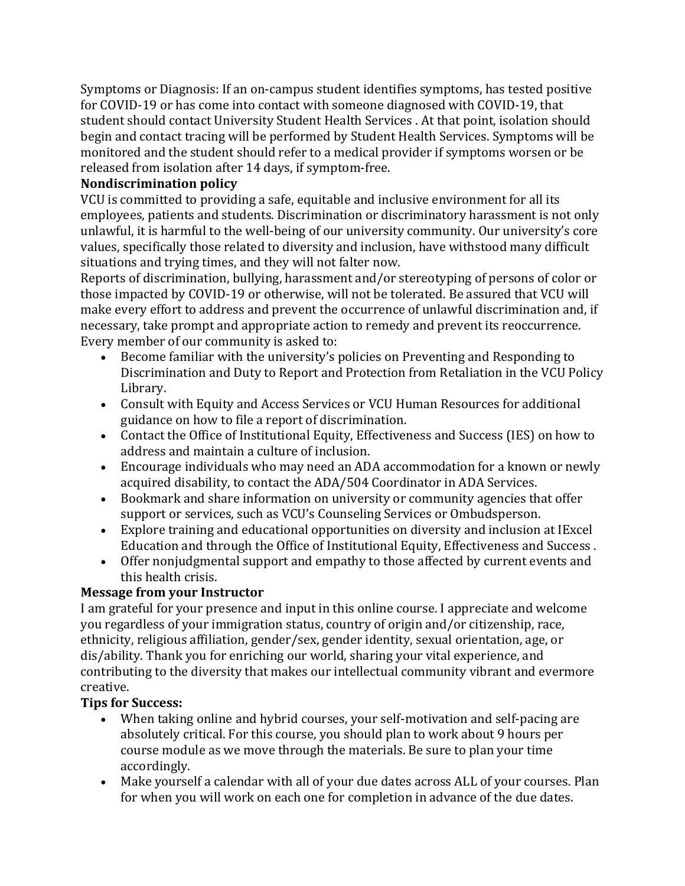Symptoms or Diagnosis: If an on-campus student identifies symptoms, has tested positive for COVID-19 or has come into contact with someone diagnosed with COVID-19, that student should contact University Student Health Services . At that point, isolation should begin and contact tracing will be performed by Student Health Services. Symptoms will be monitored and the student should refer to a medical provider if symptoms worsen or be released from isolation after 14 days, if symptom-free.

## **Nondiscrimination policy**

VCU is committed to providing a safe, equitable and inclusive environment for all its employees, patients and students. Discrimination or discriminatory harassment is not only unlawful, it is harmful to the well-being of our university community. Our university's core values, specifically those related to diversity and inclusion, have withstood many difficult situations and trying times, and they will not falter now.

Reports of discrimination, bullying, harassment and/or stereotyping of persons of color or those impacted by COVID-19 or otherwise, will not be tolerated. Be assured that VCU will make every effort to address and prevent the occurrence of unlawful discrimination and, if necessary, take prompt and appropriate action to remedy and prevent its reoccurrence. Every member of our community is asked to:

- Become familiar with the university's policies on Preventing and Responding to Discrimination and Duty to Report and Protection from Retaliation in the VCU Policy Library.
- Consult with Equity and Access Services or VCU Human Resources for additional guidance on how to file a report of discrimination.
- Contact the Office of Institutional Equity, Effectiveness and Success (IES) on how to address and maintain a culture of inclusion.
- Encourage individuals who may need an ADA accommodation for a known or newly acquired disability, to contact the ADA/504 Coordinator in ADA Services.
- Bookmark and share information on university or community agencies that offer support or services, such as VCU's Counseling Services or Ombudsperson.
- Explore training and educational opportunities on diversity and inclusion at IExcel Education and through the Office of Institutional Equity, Effectiveness and Success.
- Offer nonjudgmental support and empathy to those affected by current events and this health crisis.

## **Message from your Instructor**

I am grateful for your presence and input in this online course. I appreciate and welcome you regardless of your immigration status, country of origin and/or citizenship, race, ethnicity, religious affiliation, gender/sex, gender identity, sexual orientation, age, or dis/ability. Thank you for enriching our world, sharing your vital experience, and contributing to the diversity that makes our intellectual community vibrant and evermore creative.

## **Tips for Success:**

- When taking online and hybrid courses, your self-motivation and self-pacing are absolutely critical. For this course, you should plan to work about 9 hours per course module as we move through the materials. Be sure to plan your time accordingly.
- Make yourself a calendar with all of your due dates across ALL of your courses. Plan for when you will work on each one for completion in advance of the due dates.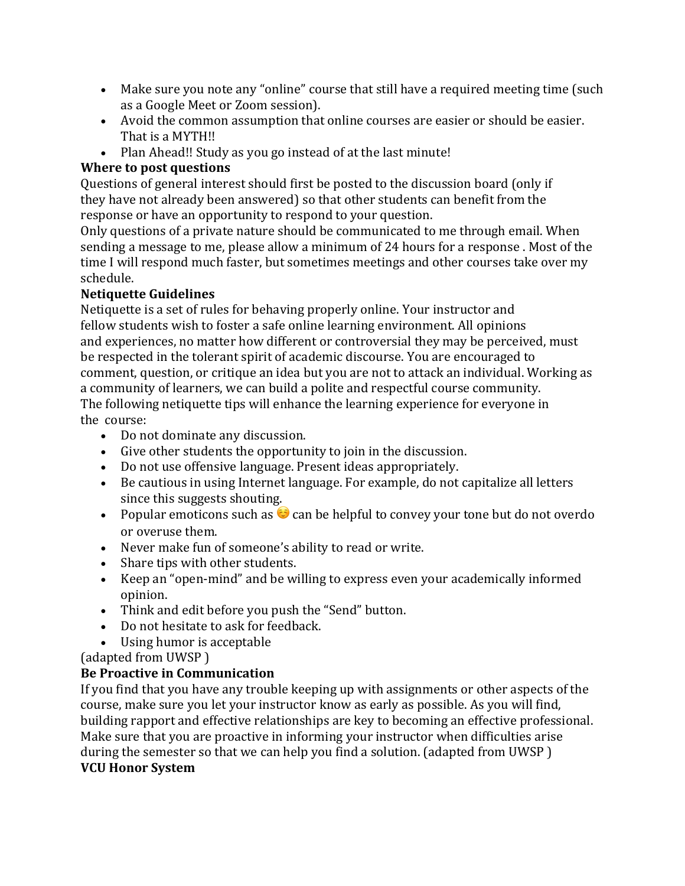- Make sure you note any "online" course that still have a required meeting time (such as a Google Meet or Zoom session).
- Avoid the common assumption that online courses are easier or should be easier. That is a MYTH!!
- Plan Ahead!! Study as you go instead of at the last minute!

## **Where to post questions**

Questions of general interest should first be posted to the discussion board (only if they have not already been answered) so that other students can benefit from the response or have an opportunity to respond to your question.

Only questions of a private nature should be communicated to me through email. When sending a message to me, please allow a minimum of 24 hours for a response. Most of the time I will respond much faster, but sometimes meetings and other courses take over my schedule.

## **Netiquette Guidelines**

Netiquette is a set of rules for behaving properly online. Your instructor and fellow students wish to foster a safe online learning environment. All opinions and experiences, no matter how different or controversial they may be perceived, must be respected in the tolerant spirit of academic discourse. You are encouraged to comment, question, or critique an idea but you are not to attack an individual. Working as a community of learners, we can build a polite and respectful course community. The following netiquette tips will enhance the learning experience for everyone in the course:

- Do not dominate any discussion.
- Give other students the opportunity to join in the discussion.
- Do not use offensive language. Present ideas appropriately.
- Be cautious in using Internet language. For example, do not capitalize all letters since this suggests shouting.
- Popular emoticons such as  $\odot$  can be helpful to convey your tone but do not overdo or overuse them.
- Never make fun of someone's ability to read or write.
- Share tips with other students.
- Keep an "open-mind" and be willing to express even your academically informed opinion.
- Think and edit before you push the "Send" button.
- Do not hesitate to ask for feedback.
- Using humor is acceptable

(adapted from UWSP)

## **Be Proactive in Communication**

If you find that you have any trouble keeping up with assignments or other aspects of the course, make sure you let your instructor know as early as possible. As you will find, building rapport and effective relationships are key to becoming an effective professional. Make sure that you are proactive in informing your instructor when difficulties arise during the semester so that we can help you find a solution. (adapted from UWSP) **VCU Honor System**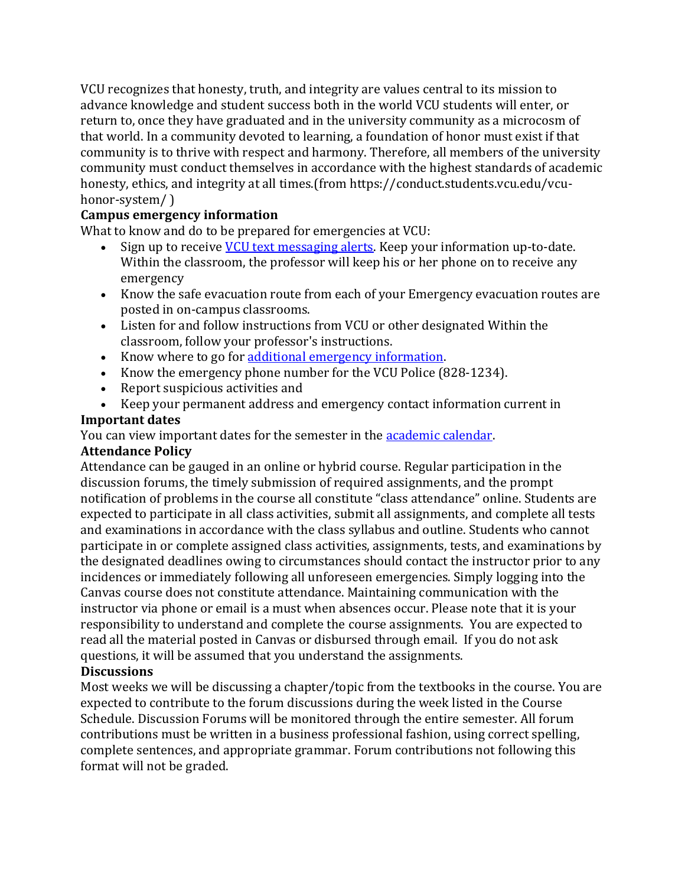VCU recognizes that honesty, truth, and integrity are values central to its mission to advance knowledge and student success both in the world VCU students will enter, or return to, once they have graduated and in the university community as a microcosm of that world. In a community devoted to learning, a foundation of honor must exist if that community is to thrive with respect and harmony. Therefore, all members of the university community must conduct themselves in accordance with the highest standards of academic honesty, ethics, and integrity at all times.(from https://conduct.students.vcu.edu/vcuhonor-system/)

#### **Campus emergency information**

What to know and do to be prepared for emergencies at VCU:

- Sign up to receive VCU text messaging alerts. Keep your information up-to-date. Within the classroom, the professor will keep his or her phone on to receive any emergency
- Know the safe evacuation route from each of your Emergency evacuation routes are posted in on-campus classrooms.
- Listen for and follow instructions from VCU or other designated Within the classroom, follow your professor's instructions.
- Know where to go for additional emergency information.
- Know the emergency phone number for the VCU Police (828-1234).
- $\bullet$  Report suspicious activities and
- Keep your permanent address and emergency contact information current in

## **Important dates**

You can view important dates for the semester in the **academic calendar**.

## **Attendance Policy**

Attendance can be gauged in an online or hybrid course. Regular participation in the discussion forums, the timely submission of required assignments, and the prompt notification of problems in the course all constitute "class attendance" online. Students are expected to participate in all class activities, submit all assignments, and complete all tests and examinations in accordance with the class syllabus and outline. Students who cannot participate in or complete assigned class activities, assignments, tests, and examinations by the designated deadlines owing to circumstances should contact the instructor prior to any incidences or immediately following all unforeseen emergencies. Simply logging into the Canvas course does not constitute attendance. Maintaining communication with the instructor via phone or email is a must when absences occur. Please note that it is your responsibility to understand and complete the course assignments. You are expected to read all the material posted in Canvas or disbursed through email. If you do not ask questions, it will be assumed that you understand the assignments.

#### **Discussions**

Most weeks we will be discussing a chapter/topic from the textbooks in the course. You are expected to contribute to the forum discussions during the week listed in the Course Schedule. Discussion Forums will be monitored through the entire semester. All forum contributions must be written in a business professional fashion, using correct spelling, complete sentences, and appropriate grammar. Forum contributions not following this format will not be graded.